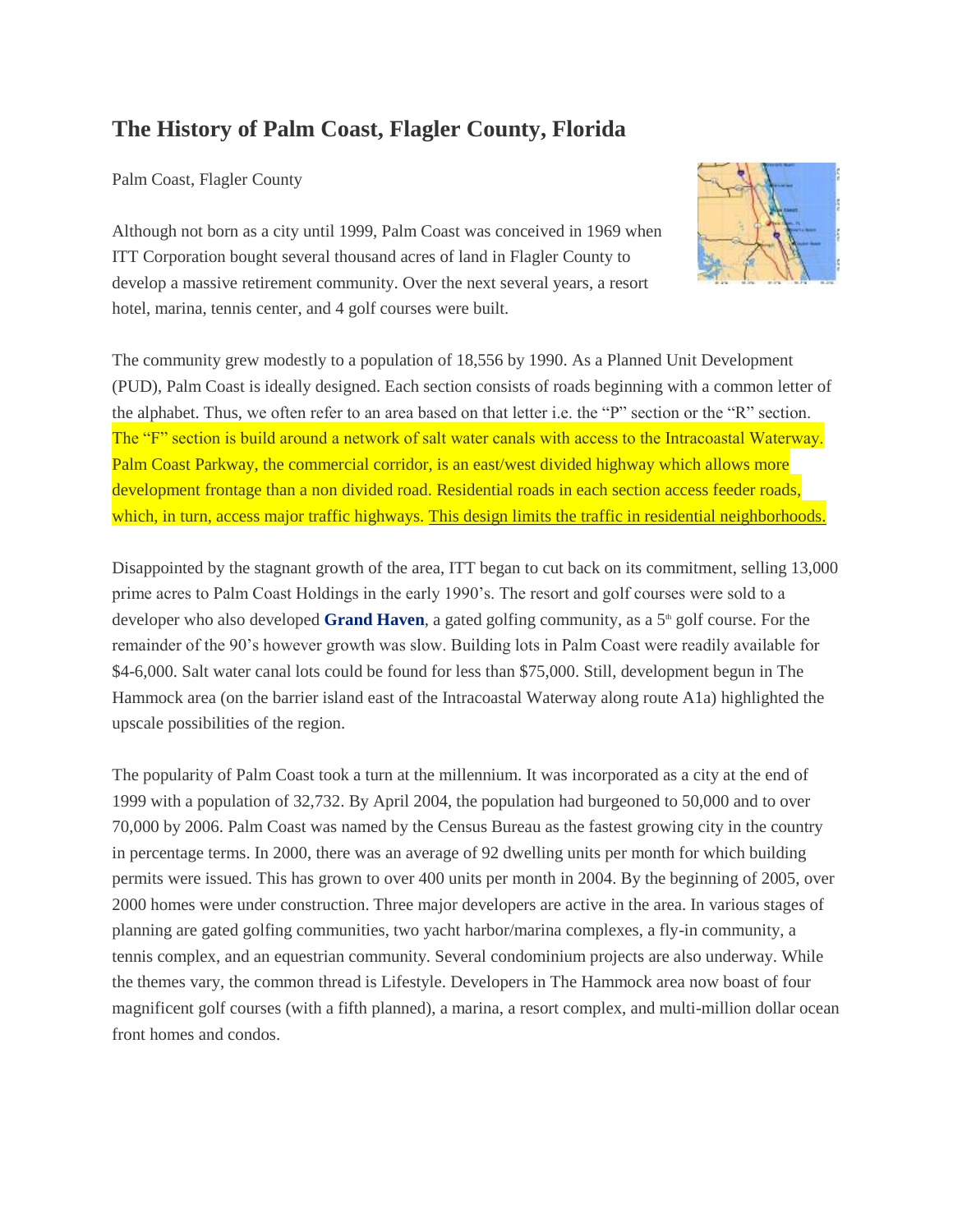## **The History of Palm Coast, Flagler County, Florida**

Palm Coast, Flagler County

Although not born as a city until 1999, Palm Coast was conceived in 1969 when ITT Corporation bought several thousand acres of land in Flagler County to develop a massive retirement community. Over the next several years, a resort hotel, marina, tennis center, and 4 golf courses were built.

The community grew modestly to a population of 18,556 by 1990. As a Planned Unit Development (PUD), Palm Coast is ideally designed. Each section consists of roads beginning with a common letter of the alphabet. Thus, we often refer to an area based on that letter i.e. the "P" section or the "R" section. The "F" section is build around a network of salt water canals with access to the Intracoastal Waterway. Palm Coast Parkway, the commercial corridor, is an east/west divided highway which allows more development frontage than a non divided road. Residential roads in each section access feeder roads, which, in turn, access major traffic highways. This design limits the traffic in residential neighborhoods.

Disappointed by the stagnant growth of the area, ITT began to cut back on its commitment, selling 13,000 prime acres to Palm Coast Holdings in the early 1990's. The resort and golf courses were sold to a developer who also developed **[Grand Haven](http://www.gotoby.com/flagler-county-florida/74)**, a gated golfing community, as a 5<sup>th</sup> golf course. For the remainder of the 90's however growth was slow. Building lots in Palm Coast were readily available for \$4-6,000. Salt water canal lots could be found for less than \$75,000. Still, development begun in The Hammock area (on the barrier island east of the Intracoastal Waterway along route A1a) highlighted the upscale possibilities of the region.

The popularity of Palm Coast took a turn at the millennium. It was incorporated as a city at the end of 1999 with a population of 32,732. By April 2004, the population had burgeoned to 50,000 and to over 70,000 by 2006. Palm Coast was named by the Census Bureau as the fastest growing city in the country in percentage terms. In 2000, there was an average of 92 dwelling units per month for which building permits were issued. This has grown to over 400 units per month in 2004. By the beginning of 2005, over 2000 homes were under construction. Three major developers are active in the area. In various stages of planning are gated golfing communities, two yacht harbor/marina complexes, a fly-in community, a tennis complex, and an equestrian community. Several condominium projects are also underway. While the themes vary, the common thread is Lifestyle. Developers in The Hammock area now boast of four magnificent golf courses (with a fifth planned), a marina, a resort complex, and multi-million dollar ocean front homes and condos.